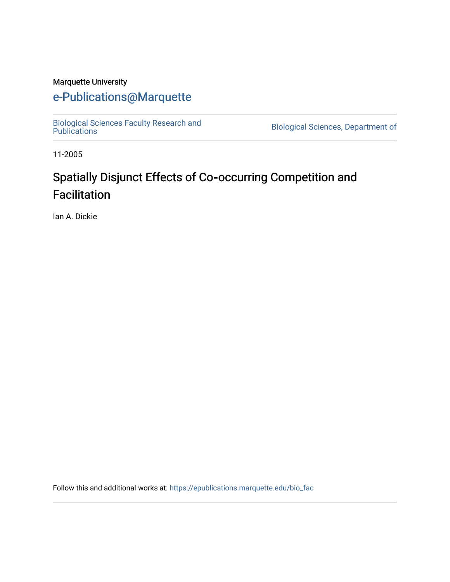#### Marquette University

## [e-Publications@Marquette](https://epublications.marquette.edu/)

[Biological Sciences Faculty Research and](https://epublications.marquette.edu/bio_fac)  [Publications](https://epublications.marquette.edu/bio_fac) [Biological Sciences, Department of](https://epublications.marquette.edu/biology) 

11-2005

# Spatially Disjunct Effects of Co**‐**occurring Competition and Facilitation

Ian A. Dickie

Follow this and additional works at: [https://epublications.marquette.edu/bio\\_fac](https://epublications.marquette.edu/bio_fac?utm_source=epublications.marquette.edu%2Fbio_fac%2F726&utm_medium=PDF&utm_campaign=PDFCoverPages)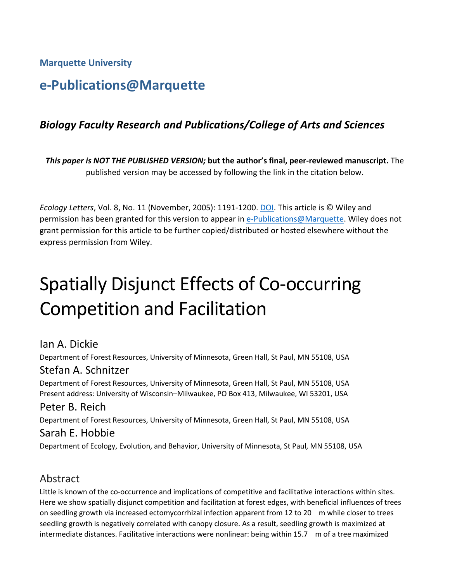**Marquette University**

## **e-Publications@Marquette**

## *Biology Faculty Research and Publications/College of Arts and Sciences*

*This paper is NOT THE PUBLISHED VERSION;* **but the author's final, peer-reviewed manuscript.** The published version may be accessed by following the link in the citation below.

*Ecology Letters*, Vol. 8, No. 11 (November, 2005): 1191-1200. DOI. This article is © Wiley and permission has been granted for this version to appear in [e-Publications@Marquette.](http://epublications.marquette.edu/) Wiley does not grant permission for this article to be further copied/distributed or hosted elsewhere without the express permission from Wiley.

# Spatially Disjunct Effects of Co-occurring Competition and Facilitation

## Ian A. Dickie

Department of Forest Resources, University of Minnesota, Green Hall, St Paul, MN 55108, USA

## Stefan A. Schnitzer

Department of Forest Resources, University of Minnesota, Green Hall, St Paul, MN 55108, USA Present address: University of Wisconsin–Milwaukee, PO Box 413, Milwaukee, WI 53201, USA

## Peter B. Reich

Department of Forest Resources, University of Minnesota, Green Hall, St Paul, MN 55108, USA

#### Sarah E. Hobbie

Department of Ecology, Evolution, and Behavior, University of Minnesota, St Paul, MN 55108, USA

## Abstract

Little is known of the co-occurrence and implications of competitive and facilitative interactions within sites. Here we show spatially disjunct competition and facilitation at forest edges, with beneficial influences of trees on seedling growth via increased ectomycorrhizal infection apparent from 12 to 20 m while closer to trees seedling growth is negatively correlated with canopy closure. As a result, seedling growth is maximized at intermediate distances. Facilitative interactions were nonlinear: being within 15.7 m of a tree maximized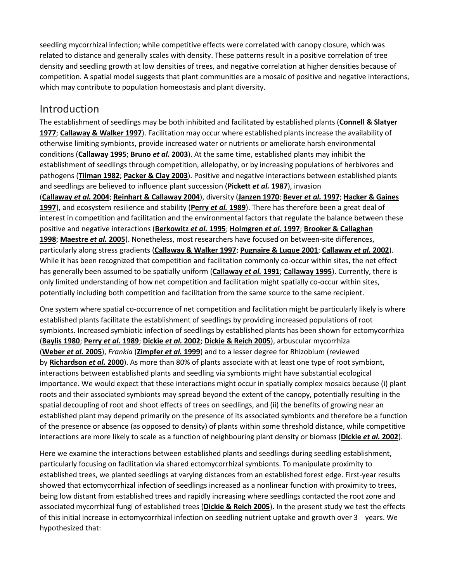seedling mycorrhizal infection; while competitive effects were correlated with canopy closure, which was related to distance and generally scales with density. These patterns result in a positive correlation of tree density and seedling growth at low densities of trees, and negative correlation at higher densities because of competition. A spatial model suggests that plant communities are a mosaic of positive and negative interactions, which may contribute to population homeostasis and plant diversity.

## Introduction

The establishment of seedlings may be both inhibited and facilitated by established plants (**[Connell & Slatyer](https://onlinelibrary.wiley.com/doi/full/10.1111/j.1461-0248.2005.00822.x#b17)  [1977](https://onlinelibrary.wiley.com/doi/full/10.1111/j.1461-0248.2005.00822.x#b17)**; **[Callaway & Walker 1997](https://onlinelibrary.wiley.com/doi/full/10.1111/j.1461-0248.2005.00822.x#b13)**). Facilitation may occur where established plants increase the availability of otherwise limiting symbionts, provide increased water or nutrients or ameliorate harsh environmental conditions (**[Callaway 1995](https://onlinelibrary.wiley.com/doi/full/10.1111/j.1461-0248.2005.00822.x#b12)**; **[Bruno](https://onlinelibrary.wiley.com/doi/full/10.1111/j.1461-0248.2005.00822.x#b10)** *et al.* **2003**). At the same time, established plants may inhibit the establishment of seedlings through competition, allelopathy, or by increasing populations of herbivores and pathogens (**[Tilman 1982](https://onlinelibrary.wiley.com/doi/full/10.1111/j.1461-0248.2005.00822.x#b46)**; **[Packer & Clay 2003](https://onlinelibrary.wiley.com/doi/full/10.1111/j.1461-0248.2005.00822.x#b35)**). Positive and negative interactions between established plants and seedlings are believed to influence plant succession (**[Pickett](https://onlinelibrary.wiley.com/doi/full/10.1111/j.1461-0248.2005.00822.x#b39)** *et al.* **1987**), invasion (**[Callaway](https://onlinelibrary.wiley.com/doi/full/10.1111/j.1461-0248.2005.00822.x#b16)** *et al.* **2004**; **[Reinhart & Callaway 2004](https://onlinelibrary.wiley.com/doi/full/10.1111/j.1461-0248.2005.00822.x#b42)**), diversity (**[Janzen 1970](https://onlinelibrary.wiley.com/doi/full/10.1111/j.1461-0248.2005.00822.x#b27)**; **[Bever](https://onlinelibrary.wiley.com/doi/full/10.1111/j.1461-0248.2005.00822.x#b4)** *et al.* **1997**; **[Hacker & Gaines](https://onlinelibrary.wiley.com/doi/full/10.1111/j.1461-0248.2005.00822.x#b24)  [1997](https://onlinelibrary.wiley.com/doi/full/10.1111/j.1461-0248.2005.00822.x#b24)**), and ecosystem resilience and stability (**[Perry](https://onlinelibrary.wiley.com/doi/full/10.1111/j.1461-0248.2005.00822.x#b36)** *et al.* **1989**). There has therefore been a great deal of interest in competition and facilitation and the environmental factors that regulate the balance between these positive and negative interactions (**[Berkowitz](https://onlinelibrary.wiley.com/doi/full/10.1111/j.1461-0248.2005.00822.x#b3)** *et al.* **1995**; **[Holmgren](https://onlinelibrary.wiley.com/doi/full/10.1111/j.1461-0248.2005.00822.x#b25)** *et al.* **1997**; **[Brooker & Callaghan](https://onlinelibrary.wiley.com/doi/full/10.1111/j.1461-0248.2005.00822.x#b8)  [1998](https://onlinelibrary.wiley.com/doi/full/10.1111/j.1461-0248.2005.00822.x#b8)**; **[Maestre](https://onlinelibrary.wiley.com/doi/full/10.1111/j.1461-0248.2005.00822.x#b31)** *et al.* **2005**). Nonetheless, most researchers have focused on between-site differences, particularly along stress gradients (**[Callaway & Walker 1997](https://onlinelibrary.wiley.com/doi/full/10.1111/j.1461-0248.2005.00822.x#b13)**; **[Pugnaire & Luque 2001](https://onlinelibrary.wiley.com/doi/full/10.1111/j.1461-0248.2005.00822.x#b40)**; **[Callaway](https://onlinelibrary.wiley.com/doi/full/10.1111/j.1461-0248.2005.00822.x#b15)** *et al.* **2002**). While it has been recognized that competition and facilitation commonly co-occur within sites, the net effect has generally been assumed to be spatially uniform (**[Callaway](https://onlinelibrary.wiley.com/doi/full/10.1111/j.1461-0248.2005.00822.x#b14)** *et al.* **1991**; **[Callaway 1995](https://onlinelibrary.wiley.com/doi/full/10.1111/j.1461-0248.2005.00822.x#b12)**). Currently, there is only limited understanding of how net competition and facilitation might spatially co-occur within sites, potentially including both competition and facilitation from the same source to the same recipient.

One system where spatial co-occurrence of net competition and facilitation might be particularly likely is where established plants facilitate the establishment of seedlings by providing increased populations of root symbionts. Increased symbiotic infection of seedlings by established plants has been shown for ectomycorrhiza (**[Baylis 1980](https://onlinelibrary.wiley.com/doi/full/10.1111/j.1461-0248.2005.00822.x#b2)**; **[Perry](https://onlinelibrary.wiley.com/doi/full/10.1111/j.1461-0248.2005.00822.x#b36)** *et al.* **1989**; **[Dickie](https://onlinelibrary.wiley.com/doi/full/10.1111/j.1461-0248.2005.00822.x#b21)** *et al.* **2002**; **[Dickie & Reich 2005](https://onlinelibrary.wiley.com/doi/full/10.1111/j.1461-0248.2005.00822.x#b20)**), arbuscular mycorrhiza (**[Weber](https://onlinelibrary.wiley.com/doi/full/10.1111/j.1461-0248.2005.00822.x#b49)** *et al.* **2005**), *Frankia* (**[Zimpfer](https://onlinelibrary.wiley.com/doi/full/10.1111/j.1461-0248.2005.00822.x#b50)** *et al.* **1999**) and to a lesser degree for Rhizobium (reviewed by **[Richardson](https://onlinelibrary.wiley.com/doi/full/10.1111/j.1461-0248.2005.00822.x#b44)** *et al.* **2000**). As more than 80% of plants associate with at least one type of root symbiont, interactions between established plants and seedling via symbionts might have substantial ecological importance. We would expect that these interactions might occur in spatially complex mosaics because (i) plant roots and their associated symbionts may spread beyond the extent of the canopy, potentially resulting in the spatial decoupling of root and shoot effects of trees on seedlings, and (ii) the benefits of growing near an established plant may depend primarily on the presence of its associated symbionts and therefore be a function of the presence or absence (as opposed to density) of plants within some threshold distance, while competitive interactions are more likely to scale as a function of neighbouring plant density or biomass (**[Dickie](https://onlinelibrary.wiley.com/doi/full/10.1111/j.1461-0248.2005.00822.x#b21)** *et al.* **2002**).

Here we examine the interactions between established plants and seedlings during seedling establishment, particularly focusing on facilitation via shared ectomycorrhizal symbionts. To manipulate proximity to established trees, we planted seedlings at varying distances from an established forest edge. First-year results showed that ectomycorrhizal infection of seedlings increased as a nonlinear function with proximity to trees, being low distant from established trees and rapidly increasing where seedlings contacted the root zone and associated mycorrhizal fungi of established trees (**[Dickie & Reich 2005](https://onlinelibrary.wiley.com/doi/full/10.1111/j.1461-0248.2005.00822.x#b20)**). In the present study we test the effects of this initial increase in ectomycorrhizal infection on seedling nutrient uptake and growth over 3 years. We hypothesized that: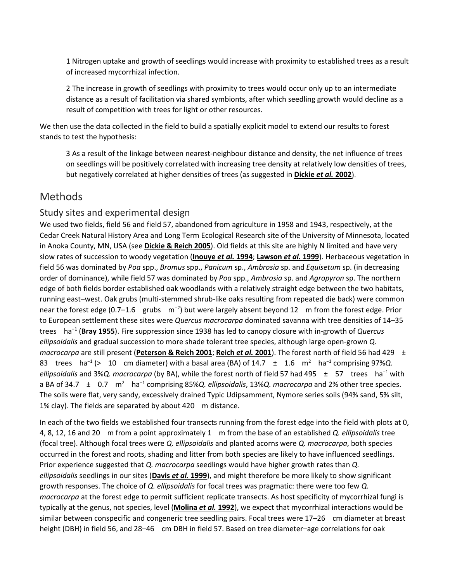1 Nitrogen uptake and growth of seedlings would increase with proximity to established trees as a result of increased mycorrhizal infection.

2 The increase in growth of seedlings with proximity to trees would occur only up to an intermediate distance as a result of facilitation via shared symbionts, after which seedling growth would decline as a result of competition with trees for light or other resources.

We then use the data collected in the field to build a spatially explicit model to extend our results to forest stands to test the hypothesis:

3 As a result of the linkage between nearest-neighbour distance and density, the net influence of trees on seedlings will be positively correlated with increasing tree density at relatively low densities of trees, but negatively correlated at higher densities of trees (as suggested in **[Dickie](https://onlinelibrary.wiley.com/doi/full/10.1111/j.1461-0248.2005.00822.x#b21)** *et al.* **2002**).

## Methods

#### Study sites and experimental design

We used two fields, field 56 and field 57, abandoned from agriculture in 1958 and 1943, respectively, at the Cedar Creek Natural History Area and Long Term Ecological Research site of the University of Minnesota, located in Anoka County, MN, USA (see **[Dickie & Reich 2005](https://onlinelibrary.wiley.com/doi/full/10.1111/j.1461-0248.2005.00822.x#b20)**). Old fields at this site are highly N limited and have very slow rates of succession to woody vegetation (**[Inouye](https://onlinelibrary.wiley.com/doi/full/10.1111/j.1461-0248.2005.00822.x#b26)** *et al.* **1994**; **[Lawson](https://onlinelibrary.wiley.com/doi/full/10.1111/j.1461-0248.2005.00822.x#b29)** *et al.* **1999**). Herbaceous vegetation in field 56 was dominated by *Poa* spp., *Bromus* spp., *Panicum* sp., *Ambrosia* sp. and *Equisetum* sp. (in decreasing order of dominance), while field 57 was dominated by *Poa* spp., *Ambrosia* sp. and *Agropyron* sp. The northern edge of both fields border established oak woodlands with a relatively straight edge between the two habitats, running east–west. Oak grubs (multi-stemmed shrub-like oaks resulting from repeated die back) were common near the forest edge (0.7–1.6 grubs m<sup>-2</sup>) but were largely absent beyond 12 m from the forest edge. Prior to European settlement these sites were *Quercus macrocarpa* dominated savanna with tree densities of 14–35 trees ha<sup>−</sup><sup>1</sup> (**[Bray 1955](https://onlinelibrary.wiley.com/doi/full/10.1111/j.1461-0248.2005.00822.x#b7)**). Fire suppression since 1938 has led to canopy closure with in-growth of *Quercus ellipsoidalis* and gradual succession to more shade tolerant tree species, although large open-grown *Q. macrocarpa* are still present (**[Peterson & Reich 2001](https://onlinelibrary.wiley.com/doi/full/10.1111/j.1461-0248.2005.00822.x#b38)**; **[Reich](https://onlinelibrary.wiley.com/doi/full/10.1111/j.1461-0248.2005.00822.x#b41)** *et al.* **2001**). The forest north of field 56 had 429 ± 83 trees ha<sup>-1</sup> (> 10 cm diameter) with a basal area (BA) of 14.7 ± 1.6 m<sup>2</sup> ha<sup>-1</sup> comprising 97%*Q*. *ellipsoidalis* and 3%*Q. macrocarpa* (by BA), while the forest north of field 57 had 495 ± 57 trees ha<sup>−</sup><sup>1</sup> with a BA of 34.7 ± 0.7 m2 ha<sup>−</sup><sup>1</sup> comprising 85%*Q. ellipsoidalis*, 13%*Q. macrocarpa* and 2% other tree species. The soils were flat, very sandy, excessively drained Typic Udipsamment, Nymore series soils (94% sand, 5% silt, 1% clay). The fields are separated by about 420 m distance.

In each of the two fields we established four transects running from the forest edge into the field with plots at 0, 4, 8, 12, 16 and 20 m from a point approximately 1 m from the base of an established *Q. ellipsoidalis* tree (focal tree). Although focal trees were *Q. ellipsoidalis* and planted acorns were *Q. macrocarpa*, both species occurred in the forest and roots, shading and litter from both species are likely to have influenced seedlings. Prior experience suggested that *Q. macrocarpa* seedlings would have higher growth rates than *Q. ellipsoidalis* seedlings in our sites (**[Davis](https://onlinelibrary.wiley.com/doi/full/10.1111/j.1461-0248.2005.00822.x#b19)** *et al.* **1999**), and might therefore be more likely to show significant growth responses. The choice of *Q. ellipsoidalis* for focal trees was pragmatic: there were too few *Q. macrocarpa* at the forest edge to permit sufficient replicate transects. As host specificity of mycorrhizal fungi is typically at the genus, not species, level (**[Molina](https://onlinelibrary.wiley.com/doi/full/10.1111/j.1461-0248.2005.00822.x#b32)** *et al.* **1992**), we expect that mycorrhizal interactions would be similar between conspecific and congeneric tree seedling pairs. Focal trees were 17–26 cm diameter at breast height (DBH) in field 56, and 28–46 cm DBH in field 57. Based on tree diameter–age correlations for oak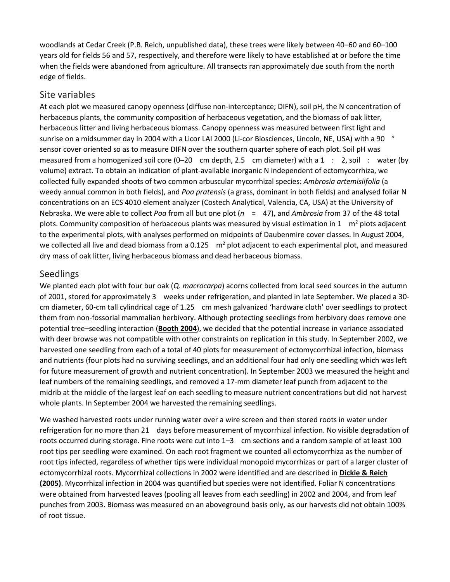woodlands at Cedar Creek (P.B. Reich, unpublished data), these trees were likely between 40–60 and 60–100 years old for fields 56 and 57, respectively, and therefore were likely to have established at or before the time when the fields were abandoned from agriculture. All transects ran approximately due south from the north edge of fields.

#### Site variables

At each plot we measured canopy openness (diffuse non-interceptance; DIFN), soil pH, the N concentration of herbaceous plants, the community composition of herbaceous vegetation, and the biomass of oak litter, herbaceous litter and living herbaceous biomass. Canopy openness was measured between first light and sunrise on a midsummer day in 2004 with a Licor LAI 2000 (Li-cor Biosciences, Lincoln, NE, USA) with a 90 ° sensor cover oriented so as to measure DIFN over the southern quarter sphere of each plot. Soil pH was measured from a homogenized soil core (0-20 cm depth, 2.5 cm diameter) with a 1 : 2, soil : water (by volume) extract. To obtain an indication of plant-available inorganic N independent of ectomycorrhiza, we collected fully expanded shoots of two common arbuscular mycorrhizal species: *Ambrosia artemisiifolia* (a weedy annual common in both fields), and *Poa pratensis* (a grass, dominant in both fields) and analysed foliar N concentrations on an ECS 4010 element analyzer (Costech Analytical, Valencia, CA, USA) at the University of Nebraska. We were able to collect *Poa* from all but one plot (*n* = 47), and *Ambrosia* from 37 of the 48 total plots. Community composition of herbaceous plants was measured by visual estimation in 1  $m<sup>2</sup>$  plots adjacent to the experimental plots, with analyses performed on midpoints of Daubenmire cover classes. In August 2004, we collected all live and dead biomass from a 0.125  $\,$  m<sup>2</sup> plot adjacent to each experimental plot, and measured dry mass of oak litter, living herbaceous biomass and dead herbaceous biomass.

#### Seedlings

We planted each plot with four bur oak (*Q. macrocarpa*) acorns collected from local seed sources in the autumn of 2001, stored for approximately 3 weeks under refrigeration, and planted in late September. We placed a 30 cm diameter, 60-cm tall cylindrical cage of 1.25 cm mesh galvanized 'hardware cloth' over seedlings to protect them from non-fossorial mammalian herbivory. Although protecting seedlings from herbivory does remove one potential tree–seedling interaction (**[Booth 2004](https://onlinelibrary.wiley.com/doi/full/10.1111/j.1461-0248.2005.00822.x#b5)**), we decided that the potential increase in variance associated with deer browse was not compatible with other constraints on replication in this study. In September 2002, we harvested one seedling from each of a total of 40 plots for measurement of ectomycorrhizal infection, biomass and nutrients (four plots had no surviving seedlings, and an additional four had only one seedling which was left for future measurement of growth and nutrient concentration). In September 2003 we measured the height and leaf numbers of the remaining seedlings, and removed a 17-mm diameter leaf punch from adjacent to the midrib at the middle of the largest leaf on each seedling to measure nutrient concentrations but did not harvest whole plants. In September 2004 we harvested the remaining seedlings.

We washed harvested roots under running water over a wire screen and then stored roots in water under refrigeration for no more than 21 days before measurement of mycorrhizal infection. No visible degradation of roots occurred during storage. Fine roots were cut into 1–3 cm sections and a random sample of at least 100 root tips per seedling were examined. On each root fragment we counted all ectomycorrhiza as the number of root tips infected, regardless of whether tips were individual monopoid mycorrhizas or part of a larger cluster of ectomycorrhizal roots. Mycorrhizal collections in 2002 were identified and are described in **[Dickie & Reich](https://onlinelibrary.wiley.com/doi/full/10.1111/j.1461-0248.2005.00822.x#b20)  [\(2005\)](https://onlinelibrary.wiley.com/doi/full/10.1111/j.1461-0248.2005.00822.x#b20)**. Mycorrhizal infection in 2004 was quantified but species were not identified. Foliar N concentrations were obtained from harvested leaves (pooling all leaves from each seedling) in 2002 and 2004, and from leaf punches from 2003. Biomass was measured on an aboveground basis only, as our harvests did not obtain 100% of root tissue.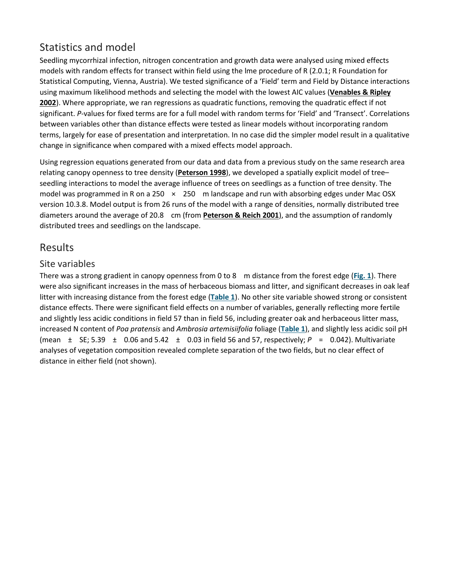## Statistics and model

Seedling mycorrhizal infection, nitrogen concentration and growth data were analysed using mixed effects models with random effects for transect within field using the lme procedure of R (2.0.1; R Foundation for Statistical Computing, Vienna, Austria). We tested significance of a 'Field' term and Field by Distance interactions using maximum likelihood methods and selecting the model with the lowest AIC values (**[Venables & Ripley](https://onlinelibrary.wiley.com/doi/full/10.1111/j.1461-0248.2005.00822.x#b47)  [2002](https://onlinelibrary.wiley.com/doi/full/10.1111/j.1461-0248.2005.00822.x#b47)**). Where appropriate, we ran regressions as quadratic functions, removing the quadratic effect if not significant. *P*-values for fixed terms are for a full model with random terms for 'Field' and 'Transect'. Correlations between variables other than distance effects were tested as linear models without incorporating random terms, largely for ease of presentation and interpretation. In no case did the simpler model result in a qualitative change in significance when compared with a mixed effects model approach.

Using regression equations generated from our data and data from a previous study on the same research area relating canopy openness to tree density (**[Peterson 1998](https://onlinelibrary.wiley.com/doi/full/10.1111/j.1461-0248.2005.00822.x#b37)**), we developed a spatially explicit model of tree– seedling interactions to model the average influence of trees on seedlings as a function of tree density. The model was programmed in R on a 250  $\times$  250 m landscape and run with absorbing edges under Mac OSX version 10.3.8. Model output is from 26 runs of the model with a range of densities, normally distributed tree diameters around the average of 20.8 cm (from **[Peterson & Reich 2001](https://onlinelibrary.wiley.com/doi/full/10.1111/j.1461-0248.2005.00822.x#b38)**), and the assumption of randomly distributed trees and seedlings on the landscape.

## Results

#### Site variables

There was a strong gradient in canopy openness from 0 to 8 m distance from the forest edge (**[Fig.](https://onlinelibrary.wiley.com/doi/full/10.1111/j.1461-0248.2005.00822.x#f1) 1**). There were also significant increases in the mass of herbaceous biomass and litter, and significant decreases in oak leaf litter with increasing distance from the forest edge (**[Table](https://onlinelibrary.wiley.com/doi/full/10.1111/j.1461-0248.2005.00822.x#t1) 1**). No other site variable showed strong or consistent distance effects. There were significant field effects on a number of variables, generally reflecting more fertile and slightly less acidic conditions in field 57 than in field 56, including greater oak and herbaceous litter mass, increased N content of *Poa pratensis* and *Ambrosia artemisiifolia* foliage (**[Table](https://onlinelibrary.wiley.com/doi/full/10.1111/j.1461-0248.2005.00822.x#t1) 1**), and slightly less acidic soil pH (mean  $\pm$  SE; 5.39  $\pm$  0.06 and 5.42  $\pm$  0.03 in field 56 and 57, respectively;  $P = 0.042$ ). Multivariate analyses of vegetation composition revealed complete separation of the two fields, but no clear effect of distance in either field (not shown).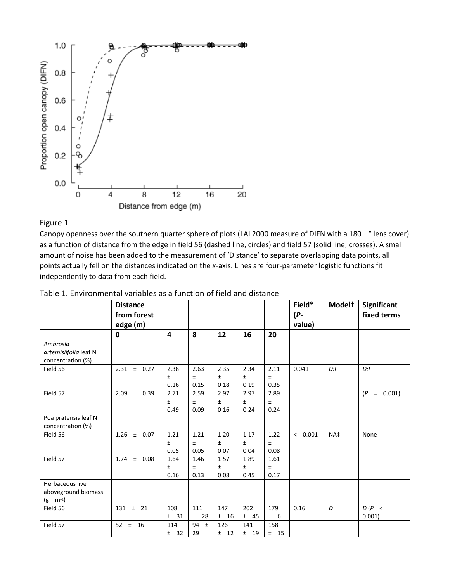

#### Figure 1

Canopy openness over the southern quarter sphere of plots (LAI 2000 measure of DIFN with a 180 ° lens cover) as a function of distance from the edge in field 56 (dashed line, circles) and field 57 (solid line, crosses). A small amount of noise has been added to the measurement of 'Distance' to separate overlapping data points, all points actually fell on the distances indicated on the *x*-axis. Lines are four-parameter logistic functions fit independently to data from each field.

|                                                           | <b>Distance</b>       |                    |                       |                       |                       |                       | Field*  | Model <sup>+</sup> | Significant      |
|-----------------------------------------------------------|-----------------------|--------------------|-----------------------|-----------------------|-----------------------|-----------------------|---------|--------------------|------------------|
|                                                           | from forest           |                    |                       |                       |                       |                       | (P-     |                    | fixed terms      |
|                                                           | edge (m)              |                    |                       |                       |                       |                       | value)  |                    |                  |
|                                                           | 0                     | 4                  | 8                     | 12                    | 16                    | 20                    |         |                    |                  |
| Ambrosia<br>artemisiifolia leaf N<br>concentration (%)    |                       |                    |                       |                       |                       |                       |         |                    |                  |
| Field 56                                                  | 2.31<br>$±$ 0.27      | 2.38<br>Ŧ.<br>0.16 | 2.63<br>Ŧ.<br>0.15    | 2.35<br>Ŧ<br>0.18     | 2.34<br>Ŧ<br>0.19     | 2.11<br>$\pm$<br>0.35 | 0.041   | D: F               | D: F             |
| Field 57                                                  | 2.09<br>± 0.39        | 2.71<br>Ŧ<br>0.49  | 2.59<br>Ŧ<br>0.09     | 2.97<br>Ŧ<br>0.16     | 2.97<br>Ŧ<br>0.24     | 2.89<br>$\pm$<br>0.24 |         |                    | (P)<br>$= 0.001$ |
| Poa pratensis leaf N<br>concentration (%)                 |                       |                    |                       |                       |                       |                       |         |                    |                  |
| Field 56                                                  | 1.26<br>± 0.07        | 1.21<br>Ŧ<br>0.05  | 1.21<br>$\pm$<br>0.05 | 1.20<br>$\pm$<br>0.07 | 1.17<br>$\pm$<br>0.04 | 1.22<br>$\pm$<br>0.08 | & 0.001 | NA‡                | None             |
| Field 57                                                  | $\pm$<br>0.08<br>1.74 | 1.64<br>Ŧ<br>0.16  | 1.46<br>Ŧ<br>0.13     | 1.57<br>Ŧ<br>0.08     | 1.89<br>Ŧ<br>0.45     | 1.61<br>$\pm$<br>0.17 |         |                    |                  |
| Herbaceous live<br>aboveground biomass<br>$(g \, m^{-2})$ |                       |                    |                       |                       |                       |                       |         |                    |                  |
| Field 56                                                  | $131 \pm 21$          | 108<br>± 31        | 111<br>28<br>±.       | 147<br>±16            | 202<br>± 45           | 179<br>± 6            | 0.16    | D                  | D(P <<br>0.001)  |
| Field 57                                                  | 16<br>52 $\pm$        | 114<br>± 32        | 94<br>$\pm$<br>29     | 126<br>$±$ 12         | 141<br>$\pm$<br>- 19  | 158<br>$±$ 15         |         |                    |                  |

Table 1. Environmental variables as a function of field and distance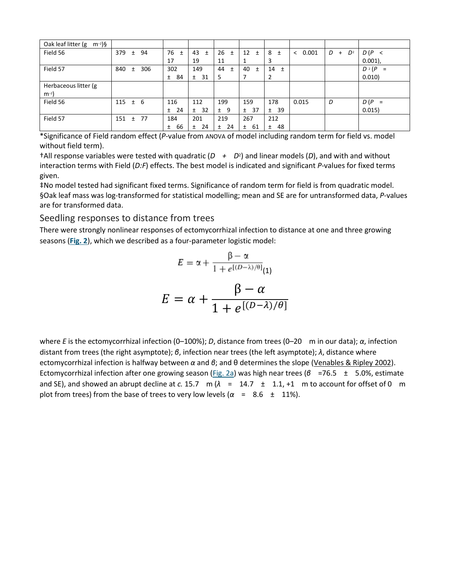| Oak leaf litter (g<br>$m^{-2}$ )§ |              |              |             |             |             |             |             |            |                   |                 |
|-----------------------------------|--------------|--------------|-------------|-------------|-------------|-------------|-------------|------------|-------------------|-----------------|
| Field 56                          | 379 $\pm$    | 94           | 76<br>土     | 43<br>$\pm$ | $26 \pm$    | 12<br>$\pm$ | 8<br>Ŧ      | 0.001<br>< | D<br>$D^2$<br>$+$ | D(P <           |
|                                   |              |              | 17          | 19          | 11          |             | 3           |            |                   | $0.001$ ),      |
| Field 57                          | 840          | 306<br>$\pm$ | 302         | 149         | 44<br>$\pm$ | 40<br>Ŧ     | 14<br>$\pm$ |            |                   | $D^2(P)$<br>$=$ |
|                                   |              |              | 84<br>$\pm$ | 31<br>$\pm$ | 5           |             | 2           |            |                   | 0.010)          |
| Herbaceous litter (g              |              |              |             |             |             |             |             |            |                   |                 |
| $m^{-2}$                          |              |              |             |             |             |             |             |            |                   |                 |
| Field 56                          | $115 \pm 6$  |              | 116         | 112         | 199         | 159         | 178         | 0.015      | D                 | $D(P =$         |
|                                   |              |              | 24<br>$\pm$ | 32<br>$\pm$ | 9<br>$\pm$  | 37<br>$\pm$ | 39<br>$\pm$ |            |                   | 0.015)          |
| Field 57                          | $151 \pm 77$ |              | 184         | 201         | 219         | 267         | 212         |            |                   |                 |
|                                   |              |              | 66<br>$\pm$ | 24<br>±.    | 24<br>±.    | 61<br>Ŧ.    | 48<br>Ŧ     |            |                   |                 |

\*Significance of Field random effect (*P*-value from ANOVA of model including random term for field vs. model without field term).

†All response variables were tested with quadratic (*D + D*2) and linear models (*D*), and with and without interaction terms with Field (*D:F*) effects. The best model is indicated and significant *P*-values for fixed terms given.

‡No model tested had significant fixed terms. Significance of random term for field is from quadratic model. §Oak leaf mass was log-transformed for statistical modelling; mean and SE are for untransformed data, *P*-values are for transformed data.

Seedling responses to distance from trees

There were strongly nonlinear responses of ectomycorrhizal infection to distance at one and three growing seasons (**[Fig.](https://onlinelibrary.wiley.com/doi/full/10.1111/j.1461-0248.2005.00822.x#f2) 2**), which we described as a four-parameter logistic model:

$$
E = \alpha + \frac{\beta - \alpha}{1 + e^{[(D-\lambda)/\theta]}}_{(1)}
$$

$$
E = \alpha + \frac{\beta - \alpha}{1 + e^{[(D-\lambda)/\theta]}}
$$

where *E* is the ectomycorrhizal infection (0–100%); *D*, distance from trees (0–20 m in our data); *α*, infection distant from trees (the right asymptote); *β*, infection near trees (the left asymptote); *λ*, distance where ectomycorrhizal infection is halfway between *α* and *β*; and θ determines the slope ([Venables & Ripley 2002\)](https://onlinelibrary.wiley.com/doi/full/10.1111/j.1461-0248.2005.00822.x#b47). Ectomycorrhizal infection after one growing season [\(Fig.](https://onlinelibrary.wiley.com/doi/full/10.1111/j.1461-0248.2005.00822.x#f2) 2a) was high near trees (β =76.5 ± 5.0%, estimate and SE), and showed an abrupt decline at *c*. 15.7 m ( $λ = 14.7 ± 1.1, +1$  m to account for offset of 0 m plot from trees) from the base of trees to very low levels  $(\alpha = 8.6 \pm 11\%)$ .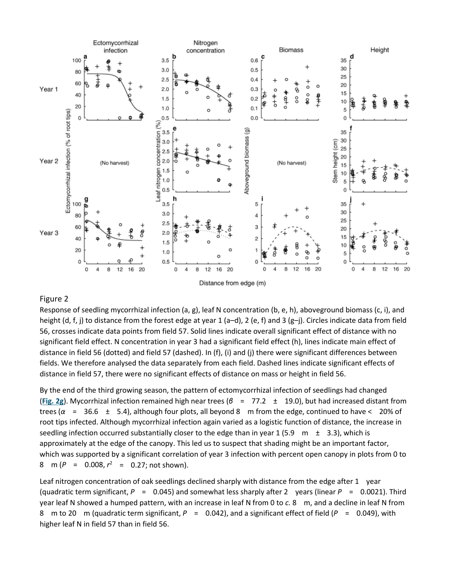

#### Figure 2

Response of seedling mycorrhizal infection (a, g), leaf N concentration (b, e, h), aboveground biomass (c, i), and height (d, f, j) to distance from the forest edge at year 1 (a–d), 2 (e, f) and 3 (g–j). Circles indicate data from field 56, crosses indicate data points from field 57. Solid lines indicate overall significant effect of distance with no significant field effect. N concentration in year 3 had a significant field effect (h), lines indicate main effect of distance in field 56 (dotted) and field 57 (dashed). In (f), (i) and (j) there were significant differences between fields. We therefore analysed the data separately from each field. Dashed lines indicate significant effects of distance in field 57, there were no significant effects of distance on mass or height in field 56.

By the end of the third growing season, the pattern of ectomycorrhizal infection of seedlings had changed (**[Fig.](https://onlinelibrary.wiley.com/doi/full/10.1111/j.1461-0248.2005.00822.x#f2) 2g**). Mycorrhizal infection remained high near trees (*β* = 77.2 ± 19.0), but had increased distant from trees ( $\alpha$  = 36.6  $\pm$  5.4), although four plots, all beyond 8 m from the edge, continued to have < 20% of root tips infected. Although mycorrhizal infection again varied as a logistic function of distance, the increase in seedling infection occurred substantially closer to the edge than in year 1 (5.9 m  $\pm$  3.3), which is approximately at the edge of the canopy. This led us to suspect that shading might be an important factor, which was supported by a significant correlation of year 3 infection with percent open canopy in plots from 0 to 8 m ( $P = 0.008$ ,  $r^2 = 0.27$ ; not shown).

Leaf nitrogen concentration of oak seedlings declined sharply with distance from the edge after 1 year (quadratic term significant, *P* = 0.045) and somewhat less sharply after 2 years (linear *P* = 0.0021). Third year leaf N showed a humped pattern, with an increase in leaf N from 0 to *c.* 8 m, and a decline in leaf N from 8 m to 20 m (quadratic term significant, *P* = 0.042), and a significant effect of field (*P* = 0.049), with higher leaf N in field 57 than in field 56.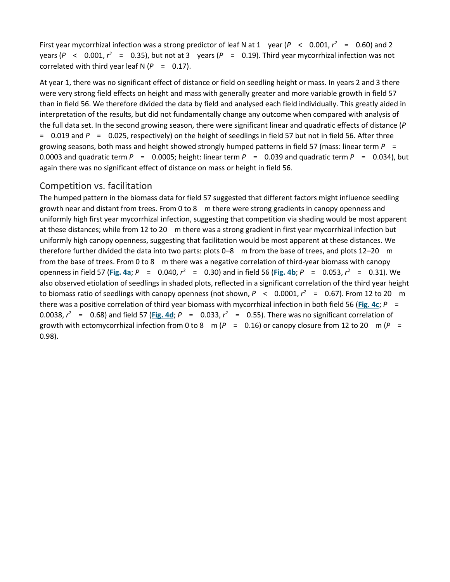First year mycorrhizal infection was a strong predictor of leaf N at 1 year ( $P < 0.001$ ,  $r^2 = 0.60$ ) and 2 years ( $P \le 0.001$ ,  $r^2 = 0.35$ ), but not at 3 years ( $P = 0.19$ ). Third year mycorrhizal infection was not correlated with third year leaf  $N (P = 0.17)$ .

At year 1, there was no significant effect of distance or field on seedling height or mass. In years 2 and 3 there were very strong field effects on height and mass with generally greater and more variable growth in field 57 than in field 56. We therefore divided the data by field and analysed each field individually. This greatly aided in interpretation of the results, but did not fundamentally change any outcome when compared with analysis of the full data set. In the second growing season, there were significant linear and quadratic effects of distance (*P* = 0.019 and *P* = 0.025, respectively) on the height of seedlings in field 57 but not in field 56. After three growing seasons, both mass and height showed strongly humped patterns in field 57 (mass: linear term *P* = 0.0003 and quadratic term  $P = 0.0005$ ; height: linear term  $P = 0.039$  and quadratic term  $P = 0.034$ ), but again there was no significant effect of distance on mass or height in field 56.

#### Competition vs. facilitation

The humped pattern in the biomass data for field 57 suggested that different factors might influence seedling growth near and distant from trees. From 0 to 8 m there were strong gradients in canopy openness and uniformly high first year mycorrhizal infection, suggesting that competition via shading would be most apparent at these distances; while from 12 to 20 m there was a strong gradient in first year mycorrhizal infection but uniformly high canopy openness, suggesting that facilitation would be most apparent at these distances. We therefore further divided the data into two parts: plots 0–8 m from the base of trees, and plots 12–20 m from the base of trees. From 0 to 8 m there was a negative correlation of third-year biomass with canopy openness in field 57 ([Fig.](https://onlinelibrary.wiley.com/doi/full/10.1111/j.1461-0248.2005.00822.x#f4) 4a;  $P = 0.040$ ,  $r^2 = 0.30$ ) and in field 56 (Fig. 4b;  $P = 0.053$ ,  $r^2 = 0.31$ ). We also observed etiolation of seedlings in shaded plots, reflected in a significant correlation of the third year height to biomass ratio of seedlings with canopy openness (not shown,  $P < 0.0001$ ,  $r^2 = 0.67$ ). From 12 to 20 m there was a positive correlation of third year biomass with mycorrhizal infection in both field 56 (**[Fig.](https://onlinelibrary.wiley.com/doi/full/10.1111/j.1461-0248.2005.00822.x#f4) 4c**; *P* = 0.0038,  $r^2$  = 0.68) and field 57 ([Fig.](https://onlinelibrary.wiley.com/doi/full/10.1111/j.1461-0248.2005.00822.x#f4) 4d;  $P$  = 0.033,  $r^2$  = 0.55). There was no significant correlation of growth with ectomycorrhizal infection from 0 to 8 m (*P* = 0.16) or canopy closure from 12 to 20 m (*P* = 0.98).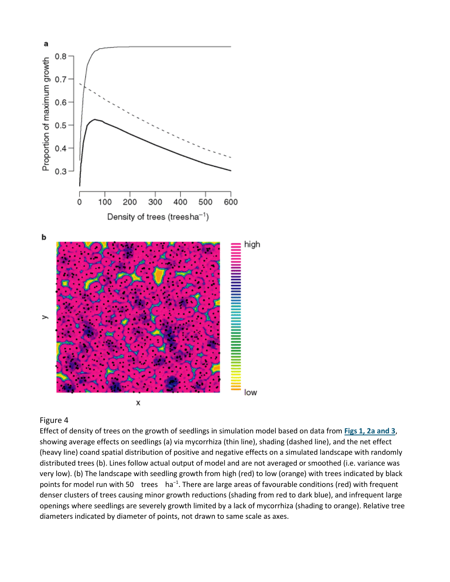

#### Figure 4

Effect of density of trees on the growth of seedlings in simulation model based on data from **Figs [1, 2a and 3](https://onlinelibrary.wiley.com/doi/full/10.1111/j.1461-0248.2005.00822.x#f1%20#f2%20#f3)**, showing average effects on seedlings (a) via mycorrhiza (thin line), shading (dashed line), and the net effect (heavy line) coand spatial distribution of positive and negative effects on a simulated landscape with randomly distributed trees (b). Lines follow actual output of model and are not averaged or smoothed (i.e. variance was very low). (b) The landscape with seedling growth from high (red) to low (orange) with trees indicated by black points for model run with 50 trees ha<sup>-1</sup>. There are large areas of favourable conditions (red) with frequent denser clusters of trees causing minor growth reductions (shading from red to dark blue), and infrequent large openings where seedlings are severely growth limited by a lack of mycorrhiza (shading to orange). Relative tree diameters indicated by diameter of points, not drawn to same scale as axes.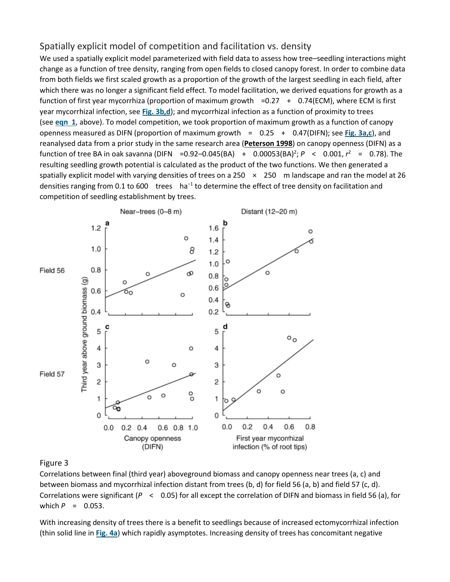#### Spatially explicit model of competition and facilitation vs. density

We used a spatially explicit model parameterized with field data to assess how tree–seedling interactions might change as a function of tree density, ranging from open fields to closed canopy forest. In order to combine data from both fields we first scaled growth as a proportion of the growth of the largest seedling in each field, after which there was no longer a significant field effect. To model facilitation, we derived equations for growth as a function of first year mycorrhiza (proportion of maximum growth =0.27 + 0.74(ECM), where ECM is first year mycorrhizal infection, see **Fig. [3b,d](https://onlinelibrary.wiley.com/doi/full/10.1111/j.1461-0248.2005.00822.x#f3)**); and mycorrhizal infection as a function of proximity to trees (see **[eqn 1](https://onlinelibrary.wiley.com/doi/full/10.1111/j.1461-0248.2005.00822.x#m1)**, above). To model competition, we took proportion of maximum growth as a function of canopy openness measured as DIFN (proportion of maximum growth = 0.25 + 0.47(DIFN); see **Fig. [3a,c](https://onlinelibrary.wiley.com/doi/full/10.1111/j.1461-0248.2005.00822.x#f3)**), and reanalysed data from a prior study in the same research area (**[Peterson 1998](https://onlinelibrary.wiley.com/doi/full/10.1111/j.1461-0248.2005.00822.x#b37)**) on canopy openness (DIFN) as a function of tree BA in oak savanna (DIFN = 0.92 - 0.045 (BA) + 0.00053 (BA)<sup>2</sup>;  $P < 0.001$ ,  $r^2 = 0.78$ ). The resulting seedling growth potential is calculated as the product of the two functions. We then generated a spatially explicit model with varying densities of trees on a 250  $\times$  250 m landscape and ran the model at 26 densities ranging from 0.1 to 600 trees ha<sup>-1</sup> to determine the effect of tree density on facilitation and competition of seedling establishment by trees.



#### Figure 3

Correlations between final (third year) aboveground biomass and canopy openness near trees (a, c) and between biomass and mycorrhizal infection distant from trees (b, d) for field 56 (a, b) and field 57 (c, d). Correlations were significant (*P* < 0.05) for all except the correlation of DIFN and biomass in field 56 (a), for which  $P = 0.053$ .

With increasing density of trees there is a benefit to seedlings because of increased ectomycorrhizal infection (thin solid line in **[Fig.](https://onlinelibrary.wiley.com/doi/full/10.1111/j.1461-0248.2005.00822.x#f4) 4a**) which rapidly asymptotes. Increasing density of trees has concomitant negative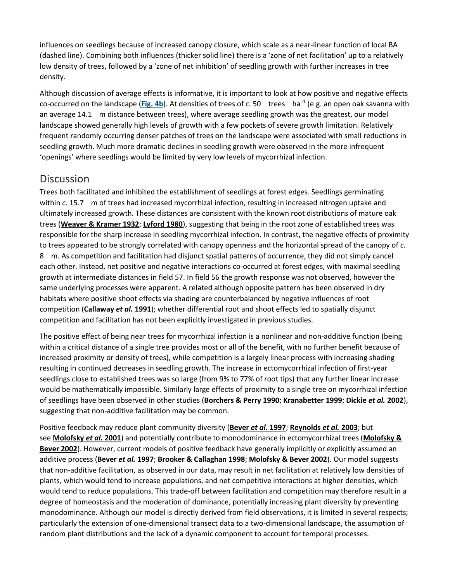influences on seedlings because of increased canopy closure, which scale as a near-linear function of local BA (dashed line). Combining both influences (thicker solid line) there is a 'zone of net facilitation' up to a relatively low density of trees, followed by a 'zone of net inhibition' of seedling growth with further increases in tree density.

Although discussion of average effects is informative, it is important to look at how positive and negative effects co-occurred on the landscape (**[Fig.](https://onlinelibrary.wiley.com/doi/full/10.1111/j.1461-0248.2005.00822.x#f4) 4b**). At densities of trees of *c.* 50 trees ha<sup>−</sup><sup>1</sup> (e.g. an open oak savanna with an average 14.1 m distance between trees), where average seedling growth was the greatest, our model landscape showed generally high levels of growth with a few pockets of severe growth limitation. Relatively frequent randomly occurring denser patches of trees on the landscape were associated with small reductions in seedling growth. Much more dramatic declines in seedling growth were observed in the more infrequent 'openings' where seedlings would be limited by very low levels of mycorrhizal infection.

## **Discussion**

Trees both facilitated and inhibited the establishment of seedlings at forest edges. Seedlings germinating within *c.* 15.7 m of trees had increased mycorrhizal infection, resulting in increased nitrogen uptake and ultimately increased growth. These distances are consistent with the known root distributions of mature oak trees (**[Weaver & Kramer 1932](https://onlinelibrary.wiley.com/doi/full/10.1111/j.1461-0248.2005.00822.x#b48)**; **[Lyford 1980](https://onlinelibrary.wiley.com/doi/full/10.1111/j.1461-0248.2005.00822.x#b30)**), suggesting that being in the root zone of established trees was responsible for the sharp increase in seedling mycorrhizal infection. In contrast, the negative effects of proximity to trees appeared to be strongly correlated with canopy openness and the horizontal spread of the canopy of *c*. 8 m. As competition and facilitation had disjunct spatial patterns of occurrence, they did not simply cancel each other. Instead, net positive and negative interactions co-occurred at forest edges, with maximal seedling growth at intermediate distances in field 57. In field 56 the growth response was not observed, however the same underlying processes were apparent. A related although opposite pattern has been observed in dry habitats where positive shoot effects via shading are counterbalanced by negative influences of root competition (**[Callaway](https://onlinelibrary.wiley.com/doi/full/10.1111/j.1461-0248.2005.00822.x#b14)** *et al.* **1991**); whether differential root and shoot effects led to spatially disjunct competition and facilitation has not been explicitly investigated in previous studies.

The positive effect of being near trees for mycorrhizal infection is a nonlinear and non-additive function (being within a critical distance of a single tree provides most or all of the benefit, with no further benefit because of increased proximity or density of trees), while competition is a largely linear process with increasing shading resulting in continued decreases in seedling growth. The increase in ectomycorrhizal infection of first-year seedlings close to established trees was so large (from 9% to 77% of root tips) that any further linear increase would be mathematically impossible. Similarly large effects of proximity to a single tree on mycorrhizal infection of seedlings have been observed in other studies (**[Borchers & Perry 1990](https://onlinelibrary.wiley.com/doi/full/10.1111/j.1461-0248.2005.00822.x#b6)**; **[Kranabetter 1999](https://onlinelibrary.wiley.com/doi/full/10.1111/j.1461-0248.2005.00822.x#b28)**; **[Dickie](https://onlinelibrary.wiley.com/doi/full/10.1111/j.1461-0248.2005.00822.x#b21)** *et al.* **2002**), suggesting that non-additive facilitation may be common.

Positive feedback may reduce plant community diversity (**[Bever](https://onlinelibrary.wiley.com/doi/full/10.1111/j.1461-0248.2005.00822.x#b4)** *et al.* **1997**; **[Reynolds](https://onlinelibrary.wiley.com/doi/full/10.1111/j.1461-0248.2005.00822.x#b43)** *et al.* **2003**; but see **[Molofsky](https://onlinelibrary.wiley.com/doi/full/10.1111/j.1461-0248.2005.00822.x#b34)** *et al.* **2001**) and potentially contribute to monodominance in ectomycorrhizal trees (**[Molofsky &](https://onlinelibrary.wiley.com/doi/full/10.1111/j.1461-0248.2005.00822.x#b33)  [Bever 2002](https://onlinelibrary.wiley.com/doi/full/10.1111/j.1461-0248.2005.00822.x#b33)**). However, current models of positive feedback have generally implicitly or explicitly assumed an additive process (**[Bever](https://onlinelibrary.wiley.com/doi/full/10.1111/j.1461-0248.2005.00822.x#b4)** *et al.* **1997**; **[Brooker & Callaghan 1998](https://onlinelibrary.wiley.com/doi/full/10.1111/j.1461-0248.2005.00822.x#b8)**; **[Molofsky & Bever 2002](https://onlinelibrary.wiley.com/doi/full/10.1111/j.1461-0248.2005.00822.x#b33)**). Our model suggests that non-additive facilitation, as observed in our data, may result in net facilitation at relatively low densities of plants, which would tend to increase populations, and net competitive interactions at higher densities, which would tend to reduce populations. This trade-off between facilitation and competition may therefore result in a degree of homeostasis and the moderation of dominance, potentially increasing plant diversity by preventing monodominance. Although our model is directly derived from field observations, it is limited in several respects; particularly the extension of one-dimensional transect data to a two-dimensional landscape, the assumption of random plant distributions and the lack of a dynamic component to account for temporal processes.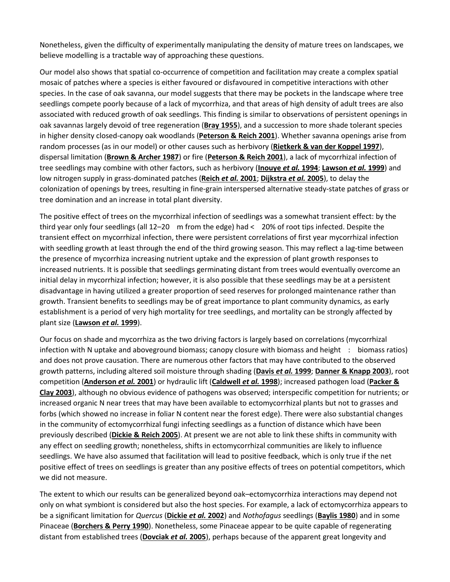Nonetheless, given the difficulty of experimentally manipulating the density of mature trees on landscapes, we believe modelling is a tractable way of approaching these questions.

Our model also shows that spatial co-occurrence of competition and facilitation may create a complex spatial mosaic of patches where a species is either favoured or disfavoured in competitive interactions with other species. In the case of oak savanna, our model suggests that there may be pockets in the landscape where tree seedlings compete poorly because of a lack of mycorrhiza, and that areas of high density of adult trees are also associated with reduced growth of oak seedlings. This finding is similar to observations of persistent openings in oak savannas largely devoid of tree regeneration (**[Bray 1955](https://onlinelibrary.wiley.com/doi/full/10.1111/j.1461-0248.2005.00822.x#b7)**), and a succession to more shade tolerant species in higher density closed-canopy oak woodlands (**[Peterson & Reich 2001](https://onlinelibrary.wiley.com/doi/full/10.1111/j.1461-0248.2005.00822.x#b38)**). Whether savanna openings arise from random processes (as in our model) or other causes such as herbivory (**[Rietkerk & van der Koppel 1997](https://onlinelibrary.wiley.com/doi/full/10.1111/j.1461-0248.2005.00822.x#b45)**), dispersal limitation (**[Brown & Archer 1987](https://onlinelibrary.wiley.com/doi/full/10.1111/j.1461-0248.2005.00822.x#b9)**) or fire (**[Peterson & Reich 2001](https://onlinelibrary.wiley.com/doi/full/10.1111/j.1461-0248.2005.00822.x#b38)**), a lack of mycorrhizal infection of tree seedlings may combine with other factors, such as herbivory (**[Inouye](https://onlinelibrary.wiley.com/doi/full/10.1111/j.1461-0248.2005.00822.x#b26)** *et al.* **1994**; **[Lawson](https://onlinelibrary.wiley.com/doi/full/10.1111/j.1461-0248.2005.00822.x#b29)** *et al.* **1999**) and low nitrogen supply in grass-dominated patches (**[Reich](https://onlinelibrary.wiley.com/doi/full/10.1111/j.1461-0248.2005.00822.x#b41)** *et al.* **2001**; **[Dijkstra](https://onlinelibrary.wiley.com/doi/full/10.1111/j.1461-0248.2005.00822.x#b22)** *et al.* **2005**), to delay the colonization of openings by trees, resulting in fine-grain interspersed alternative steady-state patches of grass or tree domination and an increase in total plant diversity.

The positive effect of trees on the mycorrhizal infection of seedlings was a somewhat transient effect: by the third year only four seedlings (all 12–20 m from the edge) had < 20% of root tips infected. Despite the transient effect on mycorrhizal infection, there were persistent correlations of first year mycorrhizal infection with seedling growth at least through the end of the third growing season. This may reflect a lag-time between the presence of mycorrhiza increasing nutrient uptake and the expression of plant growth responses to increased nutrients. It is possible that seedlings germinating distant from trees would eventually overcome an initial delay in mycorrhizal infection; however, it is also possible that these seedlings may be at a persistent disadvantage in having utilized a greater proportion of seed reserves for prolonged maintenance rather than growth. Transient benefits to seedlings may be of great importance to plant community dynamics, as early establishment is a period of very high mortality for tree seedlings, and mortality can be strongly affected by plant size (**[Lawson](https://onlinelibrary.wiley.com/doi/full/10.1111/j.1461-0248.2005.00822.x#b29)** *et al.* **1999**).

Our focus on shade and mycorrhiza as the two driving factors is largely based on correlations (mycorrhizal infection with N uptake and aboveground biomass; canopy closure with biomass and height : biomass ratios) and does not prove causation. There are numerous other factors that may have contributed to the observed growth patterns, including altered soil moisture through shading (**[Davis](https://onlinelibrary.wiley.com/doi/full/10.1111/j.1461-0248.2005.00822.x#b19)** *et al.* **1999**; **[Danner & Knapp 2003](https://onlinelibrary.wiley.com/doi/full/10.1111/j.1461-0248.2005.00822.x#b18)**), root competition (**[Anderson](https://onlinelibrary.wiley.com/doi/full/10.1111/j.1461-0248.2005.00822.x#b1)** *et al.* **2001**) or hydraulic lift (**[Caldwell](https://onlinelibrary.wiley.com/doi/full/10.1111/j.1461-0248.2005.00822.x#b11)** *et al.* **1998**); increased pathogen load (**[Packer &](https://onlinelibrary.wiley.com/doi/full/10.1111/j.1461-0248.2005.00822.x#b35)  [Clay 2003](https://onlinelibrary.wiley.com/doi/full/10.1111/j.1461-0248.2005.00822.x#b35)**), although no obvious evidence of pathogens was observed; interspecific competition for nutrients; or increased organic N near trees that may have been available to ectomycorrhizal plants but not to grasses and forbs (which showed no increase in foliar N content near the forest edge). There were also substantial changes in the community of ectomycorrhizal fungi infecting seedlings as a function of distance which have been previously described (**[Dickie & Reich 2005](https://onlinelibrary.wiley.com/doi/full/10.1111/j.1461-0248.2005.00822.x#b20)**). At present we are not able to link these shifts in community with any effect on seedling growth; nonetheless, shifts in ectomycorrhizal communities are likely to influence seedlings. We have also assumed that facilitation will lead to positive feedback, which is only true if the net positive effect of trees on seedlings is greater than any positive effects of trees on potential competitors, which we did not measure.

The extent to which our results can be generalized beyond oak–ectomycorrhiza interactions may depend not only on what symbiont is considered but also the host species. For example, a lack of ectomycorrhiza appears to be a significant limitation for *Quercus* (**[Dickie](https://onlinelibrary.wiley.com/doi/full/10.1111/j.1461-0248.2005.00822.x#b21)** *et al.* **2002**) and *Nothofagus* seedlings (**[Baylis 1980](https://onlinelibrary.wiley.com/doi/full/10.1111/j.1461-0248.2005.00822.x#b2)**) and in some Pinaceae (**[Borchers & Perry 1990](https://onlinelibrary.wiley.com/doi/full/10.1111/j.1461-0248.2005.00822.x#b6)**). Nonetheless, some Pinaceae appear to be quite capable of regenerating distant from established trees (**[Dovciak](https://onlinelibrary.wiley.com/doi/full/10.1111/j.1461-0248.2005.00822.x#b23)** *et al.* **2005**), perhaps because of the apparent great longevity and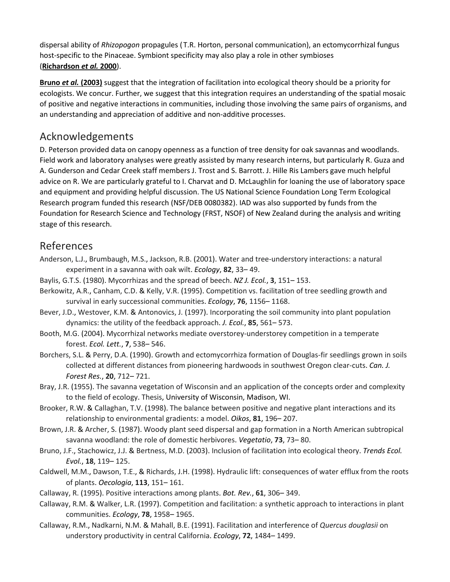dispersal ability of *Rhizopogon* propagules ( T.R. Horton, personal communication), an ectomycorrhizal fungus host-specific to the Pinaceae. Symbiont specificity may also play a role in other symbioses (**[Richardson](https://onlinelibrary.wiley.com/doi/full/10.1111/j.1461-0248.2005.00822.x#b44)** *et al.* **2000**).

**Bruno** *et al.* **[\(2003\)](https://onlinelibrary.wiley.com/doi/full/10.1111/j.1461-0248.2005.00822.x#b10)** suggest that the integration of facilitation into ecological theory should be a priority for ecologists. We concur. Further, we suggest that this integration requires an understanding of the spatial mosaic of positive and negative interactions in communities, including those involving the same pairs of organisms, and an understanding and appreciation of additive and non-additive processes.

## Acknowledgements

D. Peterson provided data on canopy openness as a function of tree density for oak savannas and woodlands. Field work and laboratory analyses were greatly assisted by many research interns, but particularly R. Guza and A. Gunderson and Cedar Creek staff members J. Trost and S. Barrott. J. Hille Ris Lambers gave much helpful advice on R. We are particularly grateful to I. Charvat and D. McLaughlin for loaning the use of laboratory space and equipment and providing helpful discussion. The US National Science Foundation Long Term Ecological Research program funded this research (NSF/DEB 0080382). IAD was also supported by funds from the Foundation for Research Science and Technology (FRST, NSOF) of New Zealand during the analysis and writing stage of this research.

## References

- Anderson, L.J., Brumbaugh, M.S., Jackson, R.B. (2001). Water and tree-understory interactions: a natural experiment in a savanna with oak wilt. *Ecology*, **82**, 33– 49.
- Baylis, G.T.S. (1980). Mycorrhizas and the spread of beech. *NZ J. Ecol.*, **3**, 151– 153.
- Berkowitz, A.R., Canham, C.D. & Kelly, V.R. (1995). Competition vs. facilitation of tree seedling growth and survival in early successional communities. *Ecology*, **76**, 1156– 1168.
- Bever, J.D., Westover, K.M. & Antonovics, J. (1997). Incorporating the soil community into plant population dynamics: the utility of the feedback approach. *J. Ecol.*, **85**, 561– 573.
- Booth, M.G. (2004). Mycorrhizal networks mediate overstorey-understorey competition in a temperate forest. *Ecol. Lett.*, **7**, 538– 546.
- Borchers, S.L. & Perry, D.A. (1990). Growth and ectomycorrhiza formation of Douglas-fir seedlings grown in soils collected at different distances from pioneering hardwoods in southwest Oregon clear-cuts. *Can. J. Forest Res.*, **20**, 712– 721.
- Bray, J.R. (1955). The savanna vegetation of Wisconsin and an application of the concepts order and complexity to the field of ecology. Thesis, University of Wisconsin, Madison, WI.
- Brooker, R.W. & Callaghan, T.V. (1998). The balance between positive and negative plant interactions and its relationship to environmental gradients: a model. *Oikos*, **81**, 196– 207.
- Brown, J.R. & Archer, S. (1987). Woody plant seed dispersal and gap formation in a North American subtropical savanna woodland: the role of domestic herbivores. *Vegetatio*, **73**, 73– 80.
- Bruno, J.F., Stachowicz, J.J. & Bertness, M.D. (2003). Inclusion of facilitation into ecological theory. *Trends Ecol. Evol.*, **18**, 119– 125.
- Caldwell, M.M., Dawson, T.E., & Richards, J.H. (1998). Hydraulic lift: consequences of water efflux from the roots of plants. *Oecologia*, **113**, 151– 161.
- Callaway, R. (1995). Positive interactions among plants. *Bot. Rev.*, **61**, 306– 349.
- Callaway, R.M. & Walker, L.R. (1997). Competition and facilitation: a synthetic approach to interactions in plant communities. *Ecology*, **78**, 1958– 1965.
- Callaway, R.M., Nadkarni, N.M. & Mahall, B.E. (1991). Facilitation and interference of *Quercus douglasii* on understory productivity in central California. *Ecology*, **72**, 1484– 1499.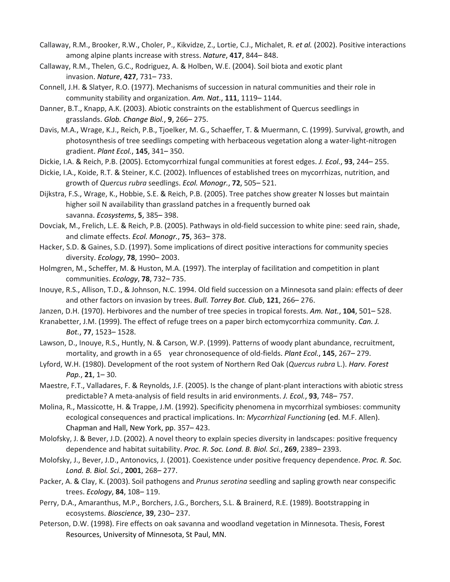- Callaway, R.M., Brooker, R.W., Choler, P., Kikvidze, Z., Lortie, C.J., Michalet, R. *et al.* (2002). Positive interactions among alpine plants increase with stress. *Nature*, **417**, 844– 848.
- Callaway, R.M., Thelen, G.C., Rodriguez, A. & Holben, W.E. (2004). Soil biota and exotic plant invasion. *Nature*, **427**, 731– 733.
- Connell, J.H. & Slatyer, R.O. (1977). Mechanisms of succession in natural communities and their role in community stability and organization. *Am. Nat.*, **111**, 1119– 1144.
- Danner, B.T., Knapp, A.K. (2003). Abiotic constraints on the establishment of Quercus seedlings in grasslands. *Glob. Change Biol.*, **9**, 266– 275.
- Davis, M.A., Wrage, K.J., Reich, P.B., Tjoelker, M. G., Schaeffer, T. & Muermann, C. (1999). Survival, growth, and photosynthesis of tree seedlings competing with herbaceous vegetation along a water-light-nitrogen gradient. *Plant Ecol.*, **145**, 341– 350.
- Dickie, I.A. & Reich, P.B. (2005). Ectomycorrhizal fungal communities at forest edges. *J. Ecol.*, **93**, 244– 255.
- Dickie, I.A., Koide, R.T. & Steiner, K.C. (2002). Influences of established trees on mycorrhizas, nutrition, and growth of *Quercus rubra* seedlings. *Ecol. Monogr.*, **72**, 505– 521.
- Dijkstra, F.S., Wrage, K., Hobbie, S.E. & Reich, P.B. (2005). Tree patches show greater N losses but maintain higher soil N availability than grassland patches in a frequently burned oak savanna. *Ecosystems*, **5**, 385– 398.
- Dovciak, M., Frelich, L.E. & Reich, P.B. (2005). Pathways in old-field succession to white pine: seed rain, shade, and climate effects. *Ecol. Monogr.*, **75**, 363– 378.
- Hacker, S.D. & Gaines, S.D. (1997). Some implications of direct positive interactions for community species diversity. *Ecology*, **78**, 1990– 2003.
- Holmgren, M., Scheffer, M. & Huston, M.A. (1997). The interplay of facilitation and competition in plant communities. *Ecology*, **78**, 732– 735.
- Inouye, R.S., Allison, T.D., & Johnson, N.C. 1994. Old field succession on a Minnesota sand plain: effects of deer and other factors on invasion by trees. *Bull. Torrey Bot. Club*, **121**, 266– 276.
- Janzen, D.H. (1970). Herbivores and the number of tree species in tropical forests. *Am. Nat.*, **104**, 501– 528.
- Kranabetter, J.M. (1999). The effect of refuge trees on a paper birch ectomycorrhiza community. *Can. J. Bot.*, **77**, 1523– 1528.
- Lawson, D., Inouye, R.S., Huntly, N. & Carson, W.P. (1999). Patterns of woody plant abundance, recruitment, mortality, and growth in a 65 year chronosequence of old-fields. *Plant Ecol.*, **145**, 267– 279.
- Lyford, W.H. (1980). Development of the root system of Northern Red Oak (*Quercus rubra* L.). *Harv. Forest Pap.*, **21**, 1– 30.
- Maestre, F.T., Valladares, F. & Reynolds, J.F. (2005). Is the change of plant-plant interactions with abiotic stress predictable? A meta-analysis of field results in arid environments. *J. Ecol.*, **93**, 748– 757.
- Molina, R., Massicotte, H. & Trappe, J.M. (1992). Specificity phenomena in mycorrhizal symbioses: community ecological consequences and practical implications. In: *Mycorrhizal Functioning* (ed. M.F. Allen). Chapman and Hall, New York, pp. 357– 423.
- Molofsky, J. & Bever, J.D. (2002). A novel theory to explain species diversity in landscapes: positive frequency dependence and habitat suitability. *Proc. R. Soc. Lond. B. Biol. Sci.*, **269**, 2389– 2393.
- Molofsky, J., Bever, J.D., Antonovics, J. (2001). Coexistence under positive frequency dependence. *Proc. R. Soc. Lond. B. Biol. Sci.*, **2001**, 268– 277.
- Packer, A. & Clay, K. (2003). Soil pathogens and *Prunus serotina* seedling and sapling growth near conspecific trees. *Ecology*, **84**, 108– 119.
- Perry, D.A., Amaranthus, M.P., Borchers, J.G., Borchers, S.L. & Brainerd, R.E. (1989). Bootstrapping in ecosystems. *Bioscience*, **39**, 230– 237.
- Peterson, D.W. (1998). Fire effects on oak savanna and woodland vegetation in Minnesota. Thesis, Forest Resources, University of Minnesota, St Paul, MN.